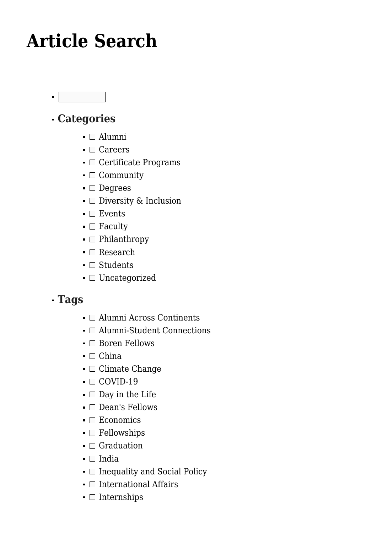# **[Article Search](https://gpsnews.ucsd.edu/article-search/)**

 $\blacksquare$ 

## **Categories**

- $\blacksquare$  Alumni
- $\blacksquare$  Careers
- $\blacksquare$  Certificate Programs
- $\blacksquare$  Community
- **Degrees**
- $\blacksquare$  Diversity & Inclusion
- $\blacksquare$  Events
- $\blacksquare$  Faculty
- $\blacksquare$  Philanthropy
- $\blacksquare$  Research
- $\blacksquare$  Students
- **□** Uncategorized

## **Tags**

- $\blacksquare$  Alumni Across Continents
- $\blacksquare$  Alumni-Student Connections
- $\blacksquare$  Boren Fellows
- $\blacksquare$  China
- $\blacksquare$  Climate Change
- $\blacksquare$  COVID-19
- $\blacksquare$  Day in the Life
- $\blacksquare$  Dean's Fellows
- $\blacksquare$  Economics
- $\blacksquare$  Fellowships
- $\blacksquare$  Graduation
- $\blacksquare$  India
- $\blacksquare$  Inequality and Social Policy
- $\blacksquare$  International Affairs
- $\blacksquare$  Internships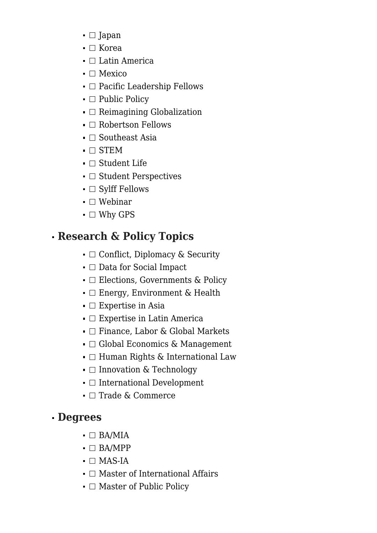- $\blacksquare$  Japan
- $\blacksquare$  Korea
- $\blacksquare$  Latin America
- $\blacksquare$  Mexico
- $\blacksquare$  Pacific Leadership Fellows
- $\blacksquare$  Public Policy
- $\blacksquare$  Reimagining Globalization
- $\blacksquare$  Robertson Fellows
- $\blacksquare$  Southeast Asia
- $\blacksquare$   $\Box$  STEM
- Student Life
- $\blacksquare$  Student Perspectives
- $\blacksquare$  Sylff Fellows
- $\blacksquare$  Webinar
- $\blacksquare$  Why GPS

## **Research & Policy Topics**

- $\bullet$   $\Box$  Conflict, Diplomacy & Security
- □ Data for Social Impact
- $\blacksquare$  Elections, Governments & Policy
- □ Energy, Environment & Health
- $\blacksquare$  Expertise in Asia
- $\blacksquare$  Expertise in Latin America
- $\blacksquare$  Finance, Labor & Global Markets
- $\blacksquare$  Global Economics & Management
- $\blacksquare$  Human Rights & International Law
- $\blacksquare$  Innovation & Technology
- $\blacksquare$  International Development
- $\blacksquare$  Trade & Commerce

## **Degrees**

- $\blacksquare$  BA/MIA
- $\blacksquare$  BA/MPP
- $\blacksquare$   $\blacksquare$  MAS-IA
- $\blacksquare$  Master of International Affairs
- $\blacksquare$  Master of Public Policy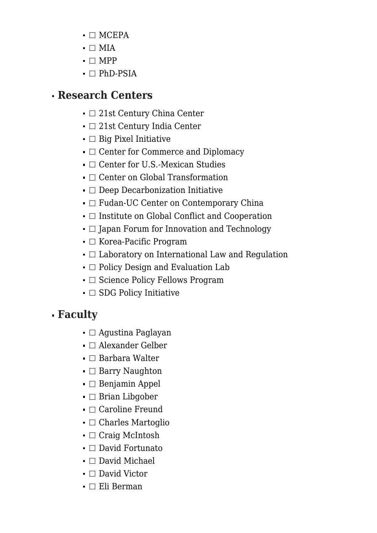- $\blacksquare$  MCEPA
- $\blacksquare$   $\blacksquare$  MIA
- $\blacksquare \square$  MPP
- $\blacksquare$  PhD-PSIA

#### **Research Centers**

- □ 21st Century China Center
- $\blacksquare$  21st Century India Center
- $\blacksquare$  Big Pixel Initiative
- $\blacksquare$  Center for Commerce and Diplomacy
- $\blacksquare$  Center for U.S.-Mexican Studies
- $\blacksquare$  Center on Global Transformation
- $\blacksquare$  Deep Decarbonization Initiative
- $\blacksquare$  Fudan-UC Center on Contemporary China
- $\blacksquare$  Institute on Global Conflict and Cooperation
- $\blacksquare$  Japan Forum for Innovation and Technology
- $\blacksquare$  Korea-Pacific Program
- $\blacksquare$  Laboratory on International Law and Regulation
- $\blacksquare$  Policy Design and Evaluation Lab
- $\blacksquare$  Science Policy Fellows Program
- $\blacksquare$  SDG Policy Initiative

## **Faculty**

- $\blacksquare$  Agustina Paglayan
- $\blacksquare$  Alexander Gelber
- $\blacksquare$  Barbara Walter
- $\blacksquare$  Barry Naughton
- $\blacksquare$  Benjamin Appel
- $\blacksquare$  Brian Libgober
- $\blacksquare$  Caroline Freund
- $\blacksquare$  Charles Martoglio
- Craig McIntosh
- $\blacksquare$  David Fortunato
- □ David Michael
- $\blacksquare$  David Victor
- $\blacksquare$  Eli Berman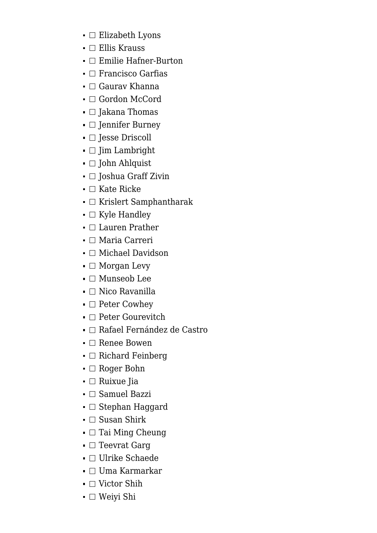- $\blacksquare$  Elizabeth Lyons
- $\blacksquare$  Ellis Krauss
- $\blacksquare$  Emilie Hafner-Burton
- $\blacksquare$  Francisco Garfias
- $\blacksquare$  Gaurav Khanna
- Gordon McCord
- $\blacksquare$  Jakana Thomas
- **I** Jennifer Burney
- $\blacksquare$  Jesse Driscoll
- $\blacksquare$  Jim Lambright
- **□ John Ahlquist**
- $\blacksquare$  Joshua Graff Zivin
- $\blacksquare$  Kate Ricke
- $\blacksquare$  Krislert Samphantharak
- $\blacksquare$  Kyle Handley
- $\blacksquare$  Lauren Prather
- □ Maria Carreri
- $\blacksquare$  Michael Davidson
- $\blacksquare$  Morgan Levy
- $\blacksquare$  Munseob Lee
- $\blacksquare$  Nico Ravanilla
- $\blacksquare$  Peter Cowhey
- $\blacksquare$  Peter Gourevitch
- $\blacksquare$  Rafael Fernández de Castro
- $\blacksquare$  Renee Bowen
- $\blacksquare$  Richard Feinberg
- $\blacksquare$  Roger Bohn
- $\blacksquare$  Ruixue Jia
- $\blacksquare$  Samuel Bazzi
- $\blacksquare$  Stephan Haggard
- $\blacksquare$  Susan Shirk
- $\blacksquare$  Tai Ming Cheung
- $\blacksquare$  Teevrat Garg
- □ Ulrike Schaede
- Uma Karmarkar
- $\blacksquare$  Victor Shih
- Weiyi Shi